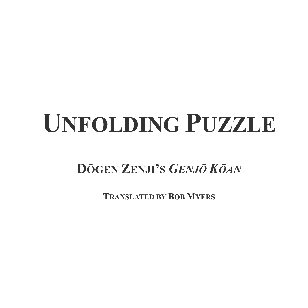# **UNFOLDING PUZZLE**

**DŌGEN ZENJI'S** *GENJŌ KŌAN*

**TRANSLATED BY BOB MYERS**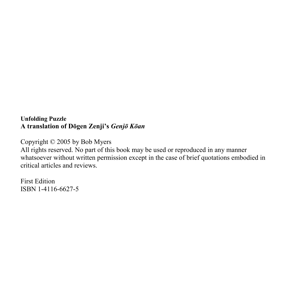## **Unfolding Puzzle A translation of Dōgen Zenji's** *Genjō Kōan*

Copyright © 2005 by Bob Myers

All rights reserved. No part of this book may be used or reproduced in any manner whatsoever without written permission except in the case of brief quotations embodied in critical articles and reviews.

First Edition ISBN 1-4116-6627-5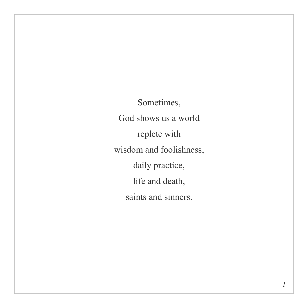Sometimes, God shows us a world replete with wisdom and foolishness, daily practice, life and death, saints and sinners.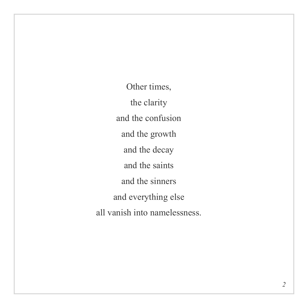Other times, the clarity and the confusion and the growth and the decay and the saints and the sinners and everything else all vanish into namelessness.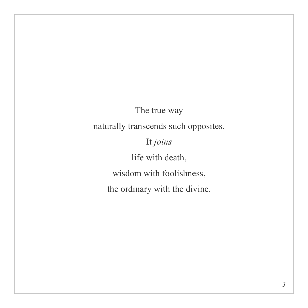The true way naturally transcends such opposites. It *joins* life with death, wisdom with foolishness, the ordinary with the divine.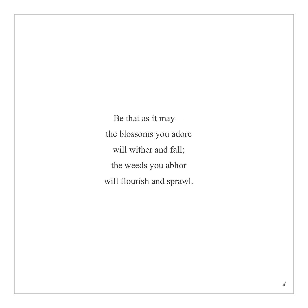Be that as it may the blossoms you adore will wither and fall; the weeds you abhor will flourish and sprawl.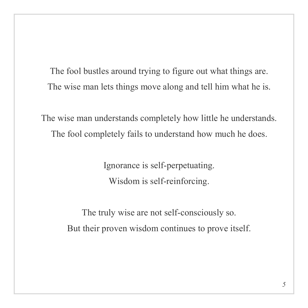The fool bustles around trying to figure out what things are. The wise man lets things move along and tell him what he is.

The wise man understands completely how little he understands. The fool completely fails to understand how much he does.

> Ignorance is self-perpetuating. Wisdom is self-reinforcing.

The truly wise are not self-consciously so. But their proven wisdom continues to prove itself.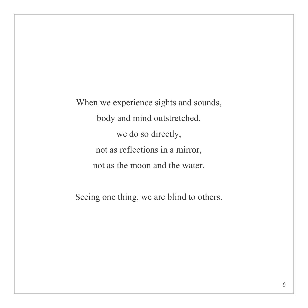When we experience sights and sounds, body and mind outstretched, we do so directly, not as reflections in a mirror, not as the moon and the water.

Seeing one thing, we are blind to others.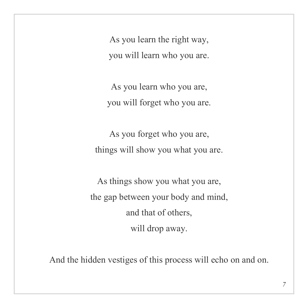As you learn the right way, you will learn who you are.

As you learn who you are, you will forget who you are.

As you forget who you are, things will show you what you are.

As things show you what you are, the gap between your body and mind, and that of others, will drop away.

And the hidden vestiges of this process will echo on and on.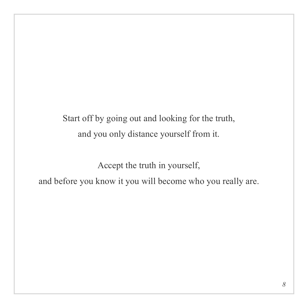Start off by going out and looking for the truth, and you only distance yourself from it.

Accept the truth in yourself, and before you know it you will become who you really are.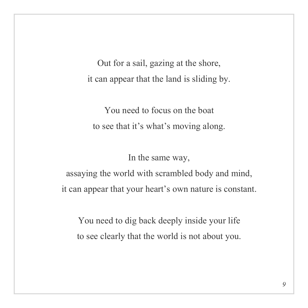Out for a sail, gazing at the shore, it can appear that the land is sliding by.

You need to focus on the boat to see that it's what's moving along.

In the same way,

assaying the world with scrambled body and mind, it can appear that your heart's own nature is constant.

You need to dig back deeply inside your life to see clearly that the world is not about you.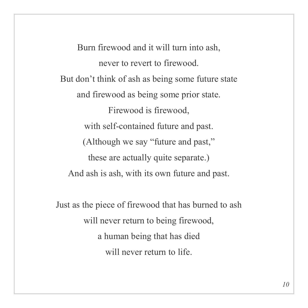Burn firewood and it will turn into ash, never to revert to firewood. But don't think of ash as being some future state and firewood as being some prior state. Firewood is firewood, with self-contained future and past. (Although we say "future and past," these are actually quite separate.) And ash is ash, with its own future and past.

Just as the piece of firewood that has burned to ash will never return to being firewood, a human being that has died will never return to life.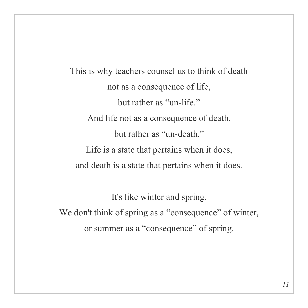This is why teachers counsel us to think of death not as a consequence of life, but rather as "un-life" And life not as a consequence of death, but rather as "un-death" Life is a state that pertains when it does, and death is a state that pertains when it does.

It's like winter and spring. We don't think of spring as a "consequence" of winter, or summer as a "consequence" of spring.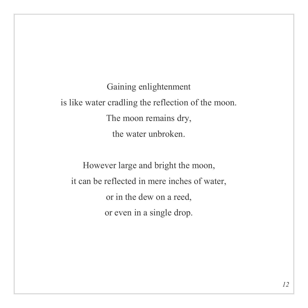Gaining enlightenment is like water cradling the reflection of the moon. The moon remains dry, the water unbroken.

However large and bright the moon, it can be reflected in mere inches of water, or in the dew on a reed, or even in a single drop.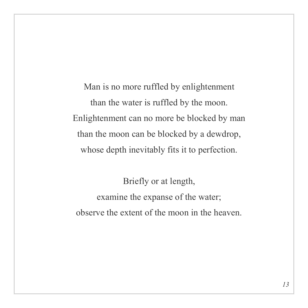Man is no more ruffled by enlightenment than the water is ruffled by the moon. Enlightenment can no more be blocked by man than the moon can be blocked by a dewdrop, whose depth inevitably fits it to perfection.

Briefly or at length, examine the expanse of the water; observe the extent of the moon in the heaven.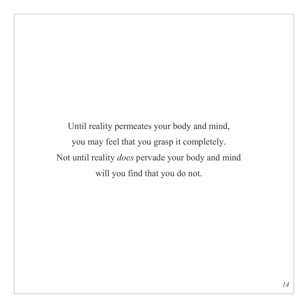Until reality permeates your body and mind, you may feel that you grasp it completely. Not until reality *does* pervade your body and mind will you find that you do not.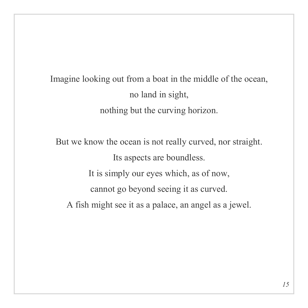Imagine looking out from a boat in the middle of the ocean, no land in sight, nothing but the curving horizon.

But we know the ocean is not really curved, nor straight. Its aspects are boundless. It is simply our eyes which, as of now, cannot go beyond seeing it as curved. A fish might see it as a palace, an angel as a jewel.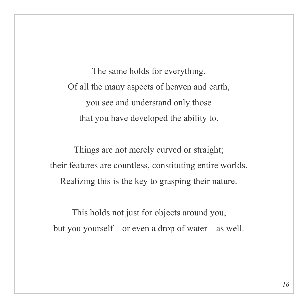The same holds for everything. Of all the many aspects of heaven and earth, you see and understand only those that you have developed the ability to.

Things are not merely curved or straight; their features are countless, constituting entire worlds. Realizing this is the key to grasping their nature.

This holds not just for objects around you, but you yourself—or even a drop of water—as well.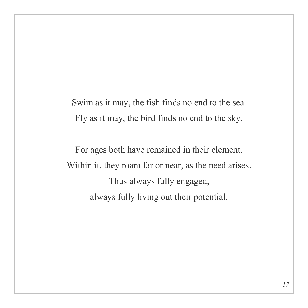Swim as it may, the fish finds no end to the sea. Fly as it may, the bird finds no end to the sky.

For ages both have remained in their element. Within it, they roam far or near, as the need arises. Thus always fully engaged, always fully living out their potential.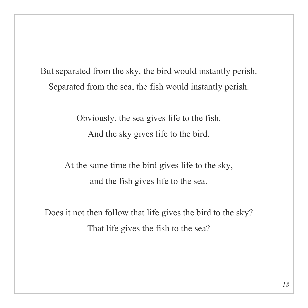But separated from the sky, the bird would instantly perish. Separated from the sea, the fish would instantly perish.

> Obviously, the sea gives life to the fish. And the sky gives life to the bird.

At the same time the bird gives life to the sky, and the fish gives life to the sea.

Does it not then follow that life gives the bird to the sky? That life gives the fish to the sea?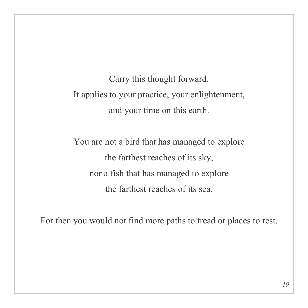Carry this thought forward. It applies to your practice, your enlightenment, and your time on this earth.

You are not a bird that has managed to explore the farthest reaches of its sky, nor a fish that has managed to explore the farthest reaches of its sea.

For then you would not find more paths to tread or places to rest.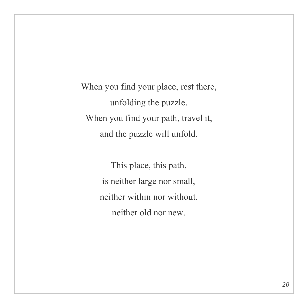When you find your place, rest there, unfolding the puzzle. When you find your path, travel it, and the puzzle will unfold.

> This place, this path, is neither large nor small, neither within nor without, neither old nor new.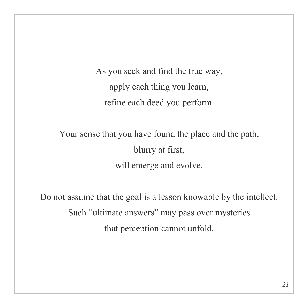As you seek and find the true way, apply each thing you learn, refine each deed you perform.

Your sense that you have found the place and the path, blurry at first, will emerge and evolve.

Do not assume that the goal is a lesson knowable by the intellect. Such "ultimate answers" may pass over mysteries that perception cannot unfold.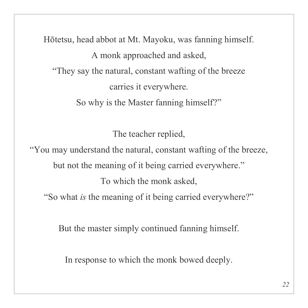Hōtetsu, head abbot at Mt. Mayoku, was fanning himself. A monk approached and asked, "They say the natural, constant wafting of the breeze carries it everywhere. So why is the Master fanning himself?"

The teacher replied,

"You may understand the natural, constant wafting of the breeze, but not the meaning of it being carried everywhere." To which the monk asked, "So what *is* the meaning of it being carried everywhere?"

But the master simply continued fanning himself.

In response to which the monk bowed deeply.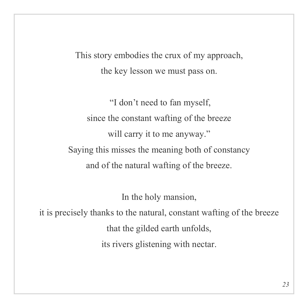This story embodies the crux of my approach, the key lesson we must pass on.

 "I don't need to fan myself, since the constant wafting of the breeze will carry it to me anyway." Saying this misses the meaning both of constancy and of the natural wafting of the breeze.

In the holy mansion,

it is precisely thanks to the natural, constant wafting of the breeze that the gilded earth unfolds, its rivers glistening with nectar.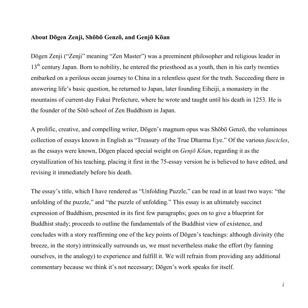#### **About Dōgen Zenji, Shōbō Genzō, and Genjō Kōan**

Dōgen Zenji ("Zenji" meaning "Zen Master") was a preeminent philosopher and religious leader in 13<sup>th</sup> century Japan. Born to nobility, he entered the priesthood as a youth, then in his early twenties embarked on a perilous ocean journey to China in a relentless quest for the truth. Succeeding there in answering life's basic question, he returned to Japan, later founding Eiheiji, a monastery in the mountains of current-day Fukui Prefecture, where he wrote and taught until his death in 1253. He is the founder of the Sōtō school of Zen Buddhism in Japan.

A prolific, creative, and compelling writer, Dōgen's magnum opus was Shōbō Genzō, the voluminous collection of essays known in English as "Treasury of the True Dharma Eye." Of the various *fascicles*, as the essays were known, Dōgen placed special weight on *Genjō Kōan*, regarding it as the crystallization of his teaching, placing it first in the 75-essay version he is believed to have edited, and revising it immediately before his death.

The essay's title, which I have rendered as "Unfolding Puzzle," can be read in at least two ways: "the unfolding of the puzzle," and "the puzzle of unfolding." This essay is an ultimately succinct expression of Buddhism, presented in its first few paragraphs; goes on to give a blueprint for Buddhist study; proceeds to outline the fundamentals of the Buddhist view of existence, and concludes with a story reaffirming one of the key points of Dōgen's teachings: although divinity (the breeze, in the story) intrinsically surrounds us, we must nevertheless make the effort (by fanning ourselves, in the analogy) to experience and fulfill it. We will refrain from providing any additional commentary because we think it's not necessary; Dōgen's work speaks for itself.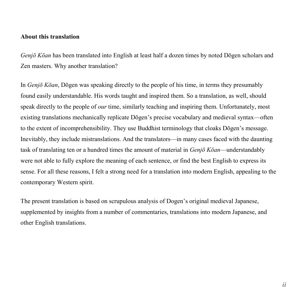### **About this translation**

*Genjō Kōan* has been translated into English at least half a dozen times by noted Dōgen scholars and Zen masters. Why another translation?

In *Genjō Kōan*, Dōgen was speaking directly to the people of his time, in terms they presumably found easily understandable. His words taught and inspired them. So a translation, as well, should speak directly to the people of *our* time, similarly teaching and inspiring them. Unfortunately, most existing translations mechanically replicate Dōgen's precise vocabulary and medieval syntax—often to the extent of incomprehensibility. They use Buddhist terminology that cloaks Dōgen's message. Inevitably, they include mistranslations. And the translators—in many cases faced with the daunting task of translating ten or a hundred times the amount of material in *Genjō Kōan*—understandably were not able to fully explore the meaning of each sentence, or find the best English to express its sense. For all these reasons, I felt a strong need for a translation into modern English, appealing to the contemporary Western spirit.

The present translation is based on scrupulous analysis of Dogen's original medieval Japanese, supplemented by insights from a number of commentaries, translations into modern Japanese, and other English translations.